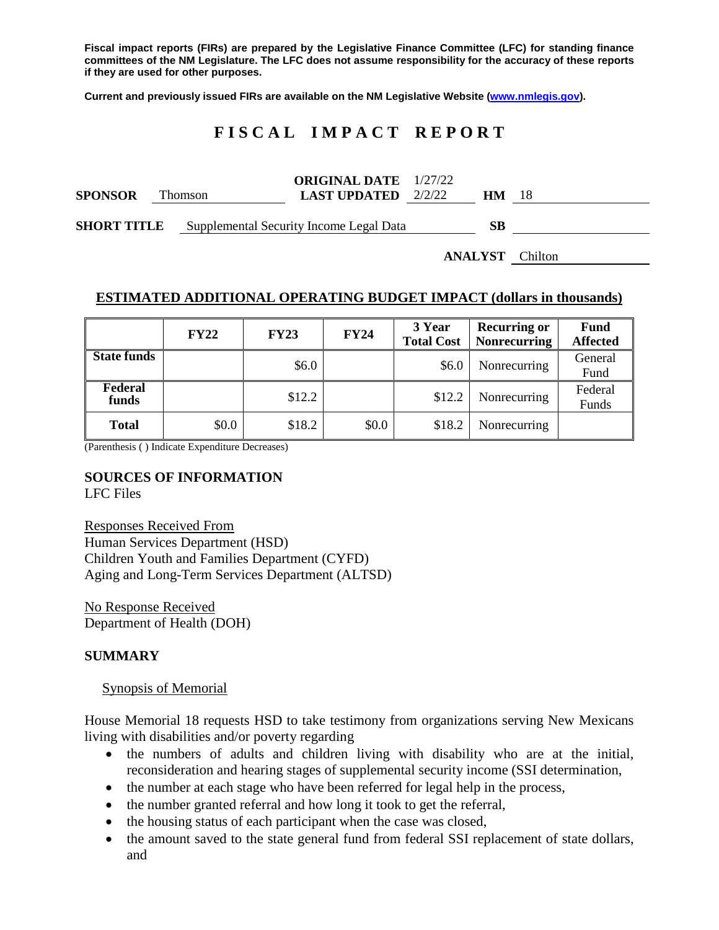**Fiscal impact reports (FIRs) are prepared by the Legislative Finance Committee (LFC) for standing finance committees of the NM Legislature. The LFC does not assume responsibility for the accuracy of these reports if they are used for other purposes.**

**Current and previously issued FIRs are available on the NM Legislative Website [\(www.nmlegis.gov\)](http://www.nmlegis.gov/).**

# **F I S C A L I M P A C T R E P O R T**

| <b>SPONSOR</b>     | <b>Thomson</b> | <b>ORIGINAL DATE</b> 1/27/22<br><b>LAST UPDATED</b> $2/2/22$ | HМ |  |
|--------------------|----------------|--------------------------------------------------------------|----|--|
| <b>SHORT TITLE</b> |                | Supplemental Security Income Legal Data                      | SВ |  |

**ANALYST** Chilton

### **ESTIMATED ADDITIONAL OPERATING BUDGET IMPACT (dollars in thousands)**

|                    | <b>FY22</b> | <b>FY23</b> | <b>FY24</b> | 3 Year<br><b>Total Cost</b> | <b>Recurring or</b><br><b>Nonrecurring</b> | <b>Fund</b><br><b>Affected</b> |
|--------------------|-------------|-------------|-------------|-----------------------------|--------------------------------------------|--------------------------------|
| <b>State funds</b> |             | \$6.0\$     |             | \$6.0                       | Nonrecurring                               | General<br>Fund                |
| Federal<br>funds   |             | \$12.2      |             | \$12.2                      | Nonrecurring                               | Federal<br>Funds               |
| <b>Total</b>       | \$0.0       | \$18.2      | \$0.0       | \$18.2                      | Nonrecurring                               |                                |

(Parenthesis ( ) Indicate Expenditure Decreases)

### **SOURCES OF INFORMATION**

LFC Files

Responses Received From Human Services Department (HSD) Children Youth and Families Department (CYFD) Aging and Long-Term Services Department (ALTSD)

No Response Received Department of Health (DOH)

### **SUMMARY**

#### Synopsis of Memorial

House Memorial 18 requests HSD to take testimony from organizations serving New Mexicans living with disabilities and/or poverty regarding

- the numbers of adults and children living with disability who are at the initial, reconsideration and hearing stages of supplemental security income (SSI determination,
- the number at each stage who have been referred for legal help in the process,
- the number granted referral and how long it took to get the referral,
- the housing status of each participant when the case was closed,
- the amount saved to the state general fund from federal SSI replacement of state dollars, and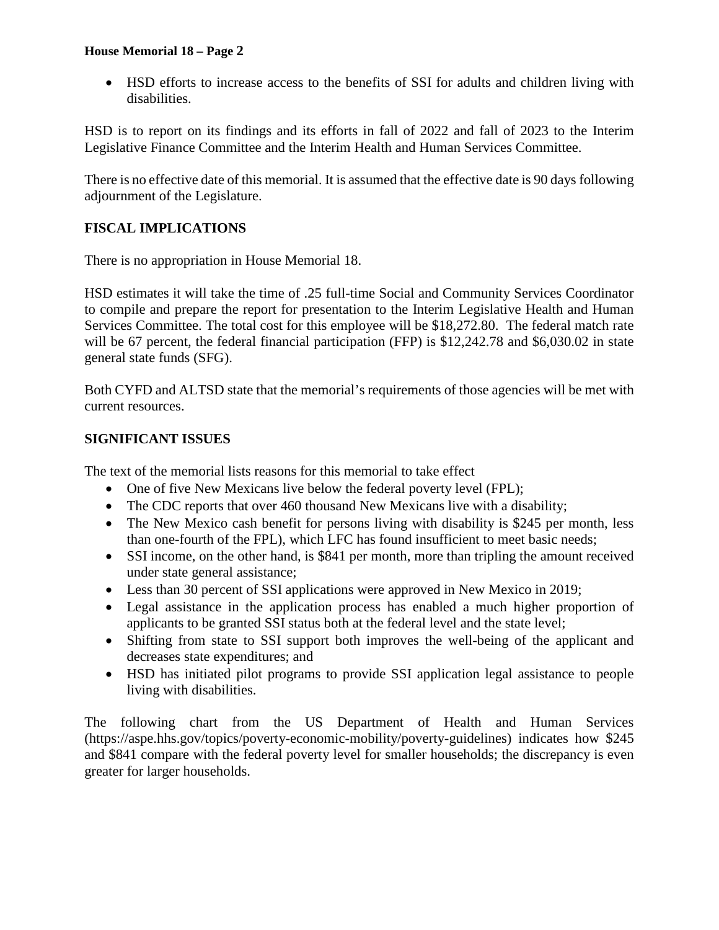## **House Memorial 18 – Page 2**

• HSD efforts to increase access to the benefits of SSI for adults and children living with disabilities.

HSD is to report on its findings and its efforts in fall of 2022 and fall of 2023 to the Interim Legislative Finance Committee and the Interim Health and Human Services Committee.

There is no effective date of this memorial. It is assumed that the effective date is 90 days following adjournment of the Legislature.

# **FISCAL IMPLICATIONS**

There is no appropriation in House Memorial 18.

HSD estimates it will take the time of .25 full-time Social and Community Services Coordinator to compile and prepare the report for presentation to the Interim Legislative Health and Human Services Committee. The total cost for this employee will be \$18,272.80. The federal match rate will be 67 percent, the federal financial participation (FFP) is \$12,242.78 and \$6,030.02 in state general state funds (SFG).

Both CYFD and ALTSD state that the memorial's requirements of those agencies will be met with current resources.

# **SIGNIFICANT ISSUES**

The text of the memorial lists reasons for this memorial to take effect

- One of five New Mexicans live below the federal poverty level (FPL);
- The CDC reports that over 460 thousand New Mexicans live with a disability;
- The New Mexico cash benefit for persons living with disability is \$245 per month, less than one-fourth of the FPL), which LFC has found insufficient to meet basic needs;
- SSI income, on the other hand, is \$841 per month, more than tripling the amount received under state general assistance;
- Less than 30 percent of SSI applications were approved in New Mexico in 2019;
- Legal assistance in the application process has enabled a much higher proportion of applicants to be granted SSI status both at the federal level and the state level;
- Shifting from state to SSI support both improves the well-being of the applicant and decreases state expenditures; and
- HSD has initiated pilot programs to provide SSI application legal assistance to people living with disabilities.

The following chart from the US Department of Health and Human Services (https://aspe.hhs.gov/topics/poverty-economic-mobility/poverty-guidelines) indicates how \$245 and \$841 compare with the federal poverty level for smaller households; the discrepancy is even greater for larger households.